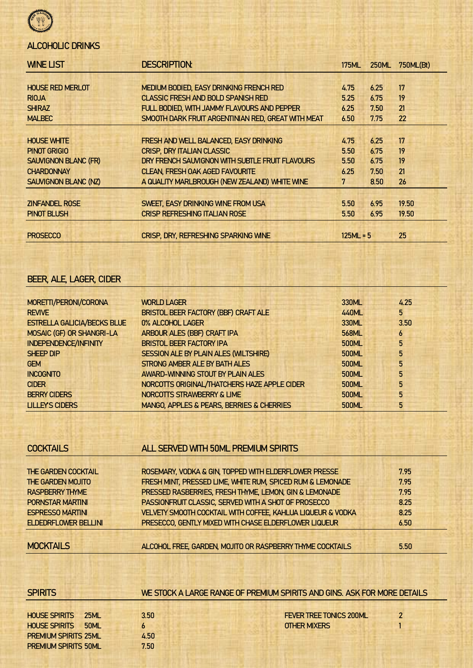

# ALCOHOLIC DRINKS

| <b>WINE LIST</b>            | <b>DESCRIPTION:</b><br><b>175ML</b>                |             | <b>250ML</b> | 750ML(Bt) |
|-----------------------------|----------------------------------------------------|-------------|--------------|-----------|
|                             |                                                    |             |              |           |
| <b>HOUSE RED MERLOT</b>     | MEDIUM BODIED, EASY DRINKING FRENCH RED            | 4.75        | 6.25         | 17        |
| <b>RIOJA</b>                | <b>CLASSIC FRESH AND BOLD SPANISH RED</b>          | 5.25        | 6.75         | 19        |
| <b>SHIRAZ</b>               | FULL BODIED, WITH JAMMY FLAVOURS AND PEPPER        | 6.25        | 7.50         | 21        |
| <b>MALBEC</b>               | SMOOTH DARK FRUIT ARGENTINIAN RED, GREAT WITH MEAT | 6.50        | 7.75         | 22        |
|                             |                                                    |             |              |           |
| <b>HOUSE WHITE</b>          | FRESH AND WELL BALANCED, EASY DRINKING             | 4.75        | 6.25         | 17        |
| <b>PINOT GRIGIO</b>         | <b>CRISP, DRY ITALIAN CLASSIC</b>                  | 5.50        | 6.75         | 19        |
| <b>SAUVIGNON BLANC (FR)</b> | DRY FRENCH SAUVIGNON WITH SUBTLE FRUIT FLAVOURS    | 5.50        | 6.75         | 19        |
| <b>CHARDONNAY</b>           | <b>CLEAN, FRESH OAK AGED FAVOURITE</b>             | 6.25        | 7.50         | 21        |
| <b>SAUVIGNON BLANC (NZ)</b> | A QUALITY MARLBROUGH (NEW ZEALAND) WHITE WINE      | 7           | 8.50         | 26        |
|                             |                                                    |             |              |           |
| <b>ZINFANDEL ROSE</b>       | SWEET, EASY DRINKING WINE FROM USA                 | 5.50        | 6.95         | 19.50     |
| <b>PINOT BLUSH</b>          | <b>CRISP REFRESHING ITALIAN ROSE</b>               | 5.50        | 6.95         | 19.50     |
|                             |                                                    |             |              |           |
| <b>PROSECCO</b>             | <b>CRISP, DRY, REFRESHING SPARKING WINE</b>        | $125ML = 5$ |              | 25        |

# BEER, ALE, LAGER, CIDER

| MORETTI/PERONI/CORONA              | <b>WORLD LAGER</b>                           | 330ML        | 4.25 |
|------------------------------------|----------------------------------------------|--------------|------|
| <b>REVIVE</b>                      | BRISTOL BEER FACTORY (BBF) CRAFT ALE         | 440ML        | 5    |
| <b>ESTRELLA GALICIA/BECKS BLUE</b> | 0% ALCOHOL LAGER                             | 330ML        | 3.50 |
| MOSAIC (GF) OR SHANGRI-LA          | ARBOUR ALES (BBF) CRAFT IPA                  | 568ML        | 6    |
| <b>INDEPENDENCE/INFINITY</b>       | <b>BRISTOL BEER FACTORY IPA</b>              | 500ML        | 5    |
| <b>SHEEP DIP</b>                   | SESSION ALE BY PLAIN ALES (WILTSHIRE)        | 500ML        | 5    |
| <b>GEM</b>                         | STRONG AMBER ALE BY BATH ALES                | 500ML        | 5    |
| <b>INCOGNITO</b>                   | AWARD-WINNING STOUT BY PLAIN ALES            | 500ML        | 5    |
| <b>CIDER</b>                       | NORCOTTS ORIGINAL/THATCHERS HAZE APPLE CIDER | 500ML        | 5    |
| <b>BERRY CIDERS</b>                | NORCOTTS STRAWBERRY & LIME                   | <b>500ML</b> | 5    |
| <b>LILLEY'S CIDERS</b>             | MANGO, APPLES & PEARS, BERRIES & CHERRIES    | <b>500ML</b> | 5    |

| <b>COCKTAILS</b>            | ALL SERVED WITH 50ML PREMIUM SPIRITS                        |      |
|-----------------------------|-------------------------------------------------------------|------|
| <b>THE GARDEN COCKTAIL</b>  | ROSEMARY, VODKA & GIN, TOPPED WITH ELDERFLOWER PRESSE       | 7.95 |
| <b>THE GARDEN MOJITO</b>    | FRESH MINT, PRESSED LIME, WHITE RUM, SPICED RUM & LEMONADE  | 7.95 |
| <b>RASPBERRY THYME</b>      | PRESSED RASBERRIES, FRESH THYME, LEMON, GIN & LEMONADE      | 7.95 |
| <b>PORNSTAR MARTINI</b>     | PASSIONFRUIT CLASSIC, SERVED WITH A SHOT OF PROSECCO        | 8.25 |
| <b>ESPRESSO MARTINI</b>     | VELVETY SMOOTH COCKTAIL WITH COFFEE, KAHLUA LIQUEUR & VODKA | 8.25 |
| <b>ELDEDRFLOWER BELLINI</b> | PRESECCO, GENTLY MIXED WITH CHASE ELDERFLOWER LIQUEUR       | 6.50 |
| <b>MOCKTAILS</b>            | ALCOHOL FREE, GARDEN, MOJITO OR RASPBERRY THYME COCKTAILS   | 5.50 |

| <b>SPIRITS</b>              |             |      | WE STOCK A LARGE RANGE OF PREMIUM SPIRITS AND GINS. ASK FOR MORE DETAILS |  |
|-----------------------------|-------------|------|--------------------------------------------------------------------------|--|
|                             |             |      |                                                                          |  |
| <b>HOUSE SPIRITS</b>        | 25ML        | 3.50 | <b>FEVER TREE TONICS 200ML</b>                                           |  |
| <b>HOUSE SPIRITS</b>        | <b>50ML</b> |      | <b>OTHER MIXERS</b>                                                      |  |
| <b>PREMIUM SPIRITS 25ML</b> |             | 4.50 |                                                                          |  |
| <b>PREMIUM SPIRITS 50ML</b> |             | 7.50 |                                                                          |  |